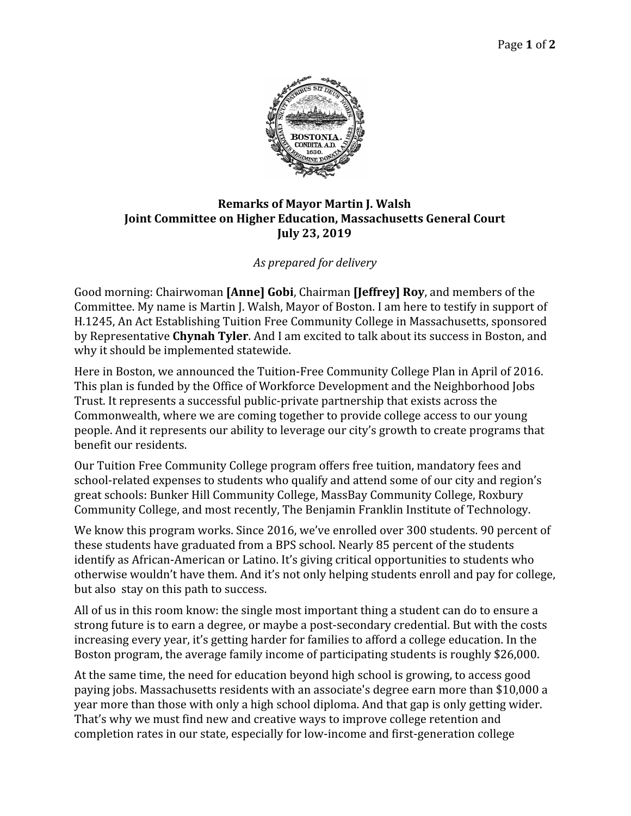

## **Remarks of Mayor Martin J. Walsh Joint Committee on Higher Education, Massachusetts General Court July 23, 2019**

## *As prepared for delivery*

Good morning: Chairwoman **[Anne] Gobi**, Chairman **[Jeffrey] Roy**, and members of the Committee. My name is Martin J. Walsh, Mayor of Boston. I am here to testify in support of H.1245, An Act Establishing Tuition Free Community College in Massachusetts, sponsored by Representative **Chynah Tyler**. And I am excited to talk about its success in Boston, and why it should be implemented statewide.

Here in Boston, we announced the Tuition-Free Community College Plan in April of 2016. This plan is funded by the Office of Workforce Development and the Neighborhood Jobs Trust. It represents a successful public-private partnership that exists across the Commonwealth, where we are coming together to provide college access to our young people. And it represents our ability to leverage our city's growth to create programs that benefit our residents.

Our Tuition Free Community College program offers free tuition, mandatory fees and school-related expenses to students who qualify and attend some of our city and region's great schools: Bunker Hill Community College, MassBay Community College, Roxbury Community College, and most recently, The Benjamin Franklin Institute of Technology.

We know this program works. Since 2016, we've enrolled over 300 students. 90 percent of these students have graduated from a BPS school. Nearly 85 percent of the students identify as African-American or Latino. It's giving critical opportunities to students who otherwise wouldn't have them. And it's not only helping students enroll and pay for college, but also stay on this path to success.

All of us in this room know: the single most important thing a student can do to ensure a strong future is to earn a degree, or maybe a post-secondary credential. But with the costs increasing every year, it's getting harder for families to afford a college education. In the Boston program, the average family income of participating students is roughly \$26,000.

At the same time, the need for education beyond high school is growing, to access good paying jobs. Massachusetts residents with an associate's degree earn more than \$10,000 a year more than those with only a high school diploma. And that gap is only getting wider. That's why we must find new and creative ways to improve college retention and completion rates in our state, especially for low-income and first-generation college